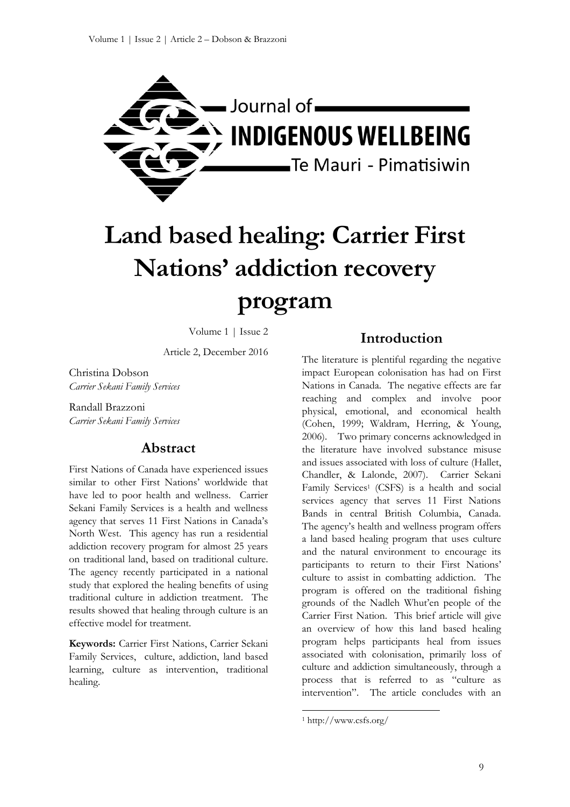

# **Land based healing: Carrier First Nations' addiction recovery program**

Volume 1 | Issue 2

Article 2, December 2016

Christina Dobson *Carrier Sekani Family Services*

Randall Brazzoni *Carrier Sekani Family Services*

# **Abstract**

First Nations of Canada have experienced issues similar to other First Nations' worldwide that have led to poor health and wellness. Carrier Sekani Family Services is a health and wellness agency that serves 11 First Nations in Canada's North West. This agency has run a residential addiction recovery program for almost 25 years on traditional land, based on traditional culture. The agency recently participated in a national study that explored the healing benefits of using traditional culture in addiction treatment. The results showed that healing through culture is an effective model for treatment.

**Keywords:** Carrier First Nations, Carrier Sekani Family Services, culture, addiction, land based learning, culture as intervention, traditional healing.

## **Introduction**

The literature is plentiful regarding the negative impact European colonisation has had on First Nations in Canada. The negative effects are far reaching and complex and involve poor physical, emotional, and economical health (Cohen, 1999; Waldram, Herring, & Young, 2006). Two primary concerns acknowledged in the literature have involved substance misuse and issues associated with loss of culture (Hallet, Chandler, & Lalonde, 2007). Carrier Sekani Family Services<sup>1</sup> (CSFS) is a health and social services agency that serves 11 First Nations Bands in central British Columbia, Canada. The agency's health and wellness program offers a land based healing program that uses culture and the natural environment to encourage its participants to return to their First Nations' culture to assist in combatting addiction. The program is offered on the traditional fishing grounds of the Nadleh Whut'en people of the Carrier First Nation. This brief article will give an overview of how this land based healing program helps participants heal from issues associated with colonisation, primarily loss of culture and addiction simultaneously, through a process that is referred to as "culture as intervention". The article concludes with an

 $\overline{a}$ 

<sup>1</sup> http://www.csfs.org/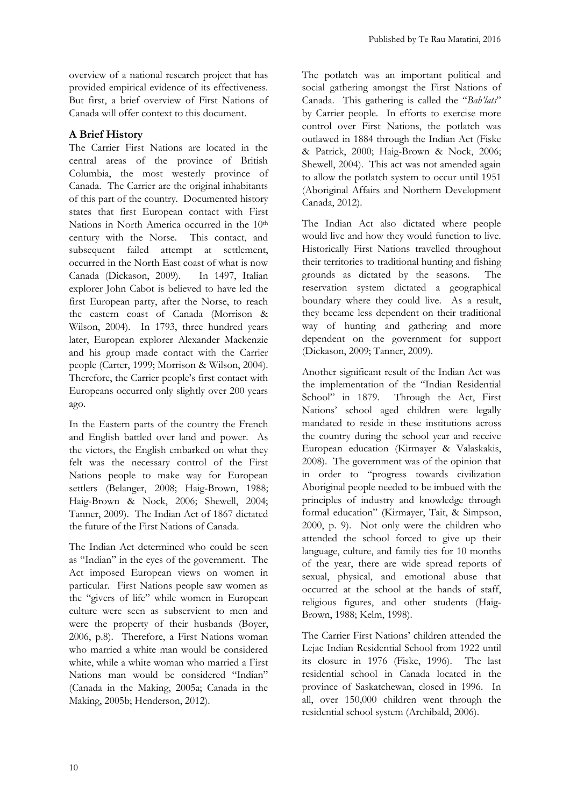overview of a national research project that has provided empirical evidence of its effectiveness. But first, a brief overview of First Nations of Canada will offer context to this document.

### **A Brief History**

The Carrier First Nations are located in the central areas of the province of British Columbia, the most westerly province of Canada. The Carrier are the original inhabitants of this part of the country. Documented history states that first European contact with First Nations in North America occurred in the 10<sup>th</sup> century with the Norse. This contact, and subsequent failed attempt at settlement, occurred in the North East coast of what is now Canada (Dickason, 2009). In 1497, Italian explorer John Cabot is believed to have led the first European party, after the Norse, to reach the eastern coast of Canada (Morrison & Wilson, 2004). In 1793, three hundred years later, European explorer Alexander Mackenzie and his group made contact with the Carrier people (Carter, 1999; Morrison & Wilson, 2004). Therefore, the Carrier people's first contact with Europeans occurred only slightly over 200 years ago.

In the Eastern parts of the country the French and English battled over land and power. As the victors, the English embarked on what they felt was the necessary control of the First Nations people to make way for European settlers (Belanger, 2008; Haig-Brown, 1988; Haig-Brown & Nock, 2006; Shewell, 2004; Tanner, 2009). The Indian Act of 1867 dictated the future of the First Nations of Canada.

The Indian Act determined who could be seen as "Indian" in the eyes of the government. The Act imposed European views on women in particular. First Nations people saw women as the "givers of life" while women in European culture were seen as subservient to men and were the property of their husbands (Boyer, 2006, p.8). Therefore, a First Nations woman who married a white man would be considered white, while a white woman who married a First Nations man would be considered "Indian" (Canada in the Making, 2005a; Canada in the Making, 2005b; Henderson, 2012).

The potlatch was an important political and social gathering amongst the First Nations of Canada. This gathering is called the "*Bah'lats*" by Carrier people. In efforts to exercise more control over First Nations, the potlatch was outlawed in 1884 through the Indian Act (Fiske & Patrick, 2000; Haig-Brown & Nock, 2006; Shewell, 2004). This act was not amended again to allow the potlatch system to occur until 1951 (Aboriginal Affairs and Northern Development Canada, 2012).

The Indian Act also dictated where people would live and how they would function to live. Historically First Nations travelled throughout their territories to traditional hunting and fishing grounds as dictated by the seasons. The reservation system dictated a geographical boundary where they could live. As a result, they became less dependent on their traditional way of hunting and gathering and more dependent on the government for support (Dickason, 2009; Tanner, 2009).

Another significant result of the Indian Act was the implementation of the "Indian Residential School" in 1879. Through the Act, First Nations' school aged children were legally mandated to reside in these institutions across the country during the school year and receive European education (Kirmayer & Valaskakis, 2008). The government was of the opinion that in order to "progress towards civilization Aboriginal people needed to be imbued with the principles of industry and knowledge through formal education" (Kirmayer, Tait, & Simpson, 2000, p. 9). Not only were the children who attended the school forced to give up their language, culture, and family ties for 10 months of the year, there are wide spread reports of sexual, physical, and emotional abuse that occurred at the school at the hands of staff, religious figures, and other students (Haig-Brown, 1988; Kelm, 1998).

The Carrier First Nations' children attended the Lejac Indian Residential School from 1922 until its closure in 1976 (Fiske, 1996). The last residential school in Canada located in the province of Saskatchewan, closed in 1996. In all, over 150,000 children went through the residential school system (Archibald, 2006).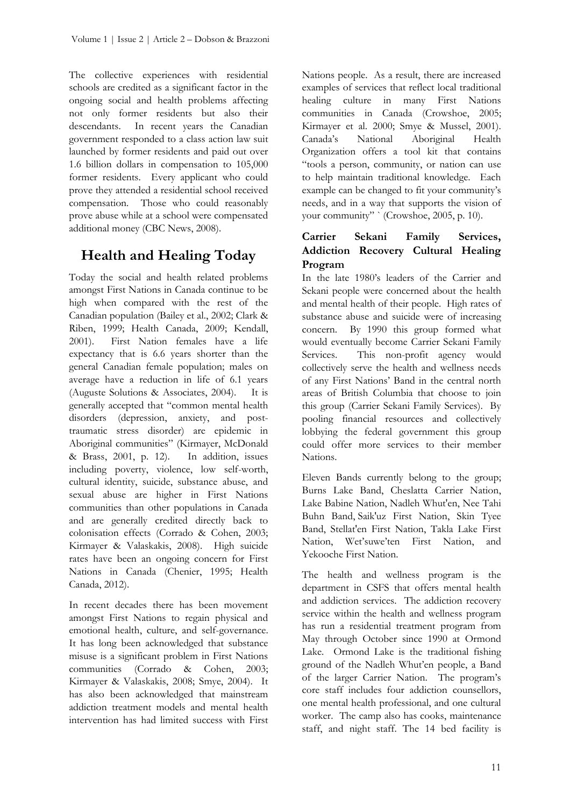The collective experiences with residential schools are credited as a significant factor in the ongoing social and health problems affecting not only former residents but also their descendants. In recent years the Canadian government responded to a class action law suit launched by former residents and paid out over 1.6 billion dollars in compensation to 105,000 former residents. Every applicant who could prove they attended a residential school received compensation. Those who could reasonably prove abuse while at a school were compensated additional money (CBC News, 2008).

# **Health and Healing Today**

Today the social and health related problems amongst First Nations in Canada continue to be high when compared with the rest of the Canadian population (Bailey et al., 2002; Clark & Riben, 1999; Health Canada, 2009; Kendall, 2001). First Nation females have a life expectancy that is 6.6 years shorter than the general Canadian female population; males on average have a reduction in life of 6.1 years (Auguste Solutions & Associates, 2004). It is generally accepted that "common mental health disorders (depression, anxiety, and posttraumatic stress disorder) are epidemic in Aboriginal communities" (Kirmayer, McDonald & Brass, 2001, p. 12). In addition, issues including poverty, violence, low self-worth, cultural identity, suicide, substance abuse, and sexual abuse are higher in First Nations communities than other populations in Canada and are generally credited directly back to colonisation effects (Corrado & Cohen, 2003; Kirmayer & Valaskakis, 2008). High suicide rates have been an ongoing concern for First Nations in Canada (Chenier, 1995; Health Canada, 2012).

In recent decades there has been movement amongst First Nations to regain physical and emotional health, culture, and self-governance. It has long been acknowledged that substance misuse is a significant problem in First Nations communities (Corrado & Cohen, 2003; Kirmayer & Valaskakis, 2008; Smye, 2004). It has also been acknowledged that mainstream addiction treatment models and mental health intervention has had limited success with First Nations people. As a result, there are increased examples of services that reflect local traditional healing culture in many First Nations communities in Canada (Crowshoe, 2005; Kirmayer et al. 2000; Smye & Mussel, 2001). Canada's National Aboriginal Health Organization offers a tool kit that contains "tools a person, community, or nation can use to help maintain traditional knowledge. Each example can be changed to fit your community's needs, and in a way that supports the vision of your community" ` (Crowshoe, 2005, p. 10).

## **Carrier Sekani Family Services, Addiction Recovery Cultural Healing Program**

In the late 1980's leaders of the Carrier and Sekani people were concerned about the health and mental health of their people. High rates of substance abuse and suicide were of increasing concern. By 1990 this group formed what would eventually become Carrier Sekani Family Services. This non-profit agency would collectively serve the health and wellness needs of any First Nations' Band in the central north areas of British Columbia that choose to join this group (Carrier Sekani Family Services). By pooling financial resources and collectively lobbying the federal government this group could offer more services to their member Nations.

Eleven Bands currently belong to the group; Burns Lake Band, Cheslatta Carrier Nation, Lake Babine Nation, Nadleh Whut'en, Nee Tahi Buhn Band, Saik'uz First Nation, Skin Tyee Band, Stellat'en First Nation, Takla Lake First Nation, Wet'suwe'ten First Nation, and Yekooche First Nation.

The health and wellness program is the department in CSFS that offers mental health and addiction services. The addiction recovery service within the health and wellness program has run a residential treatment program from May through October since 1990 at Ormond Lake. Ormond Lake is the traditional fishing ground of the Nadleh Whut'en people, a Band of the larger Carrier Nation. The program's core staff includes four addiction counsellors, one mental health professional, and one cultural worker. The camp also has cooks, maintenance staff, and night staff. The 14 bed facility is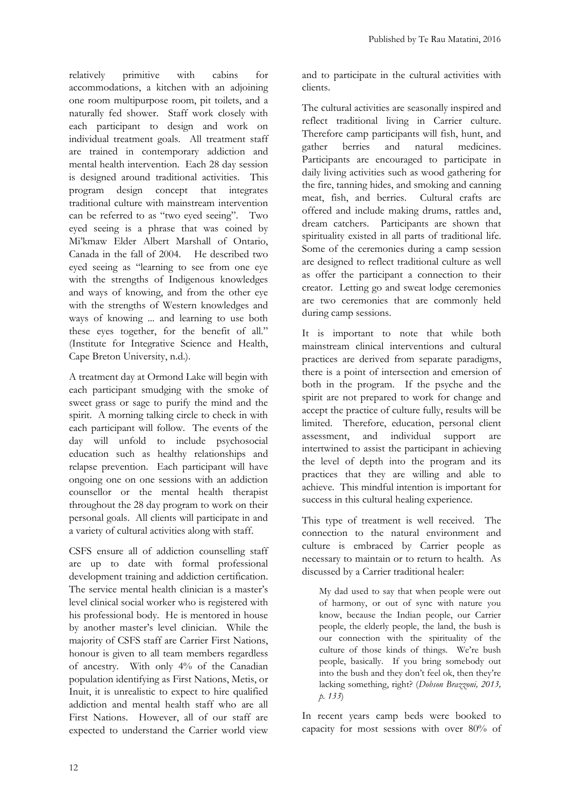relatively primitive with cabins for accommodations, a kitchen with an adjoining one room multipurpose room, pit toilets, and a naturally fed shower. Staff work closely with each participant to design and work on individual treatment goals. All treatment staff are trained in contemporary addiction and mental health intervention. Each 28 day session is designed around traditional activities. This program design concept that integrates traditional culture with mainstream intervention can be referred to as "two eyed seeing". Two eyed seeing is a phrase that was coined by Mi'kmaw Elder Albert Marshall of Ontario, Canada in the fall of 2004. He described two eyed seeing as "learning to see from one eye with the strengths of Indigenous knowledges and ways of knowing, and from the other eye with the strengths of Western knowledges and ways of knowing ... and learning to use both these eyes together, for the benefit of all." (Institute for Integrative Science and Health, Cape Breton University, n.d.).

A treatment day at Ormond Lake will begin with each participant smudging with the smoke of sweet grass or sage to purify the mind and the spirit. A morning talking circle to check in with each participant will follow. The events of the day will unfold to include psychosocial education such as healthy relationships and relapse prevention. Each participant will have ongoing one on one sessions with an addiction counsellor or the mental health therapist throughout the 28 day program to work on their personal goals. All clients will participate in and a variety of cultural activities along with staff.

CSFS ensure all of addiction counselling staff are up to date with formal professional development training and addiction certification. The service mental health clinician is a master's level clinical social worker who is registered with his professional body. He is mentored in house by another master's level clinician. While the majority of CSFS staff are Carrier First Nations, honour is given to all team members regardless of ancestry. With only 4% of the Canadian population identifying as First Nations, Metis, or Inuit, it is unrealistic to expect to hire qualified addiction and mental health staff who are all First Nations. However, all of our staff are expected to understand the Carrier world view

and to participate in the cultural activities with clients.

The cultural activities are seasonally inspired and reflect traditional living in Carrier culture. Therefore camp participants will fish, hunt, and berries and natural medicines. Participants are encouraged to participate in daily living activities such as wood gathering for the fire, tanning hides, and smoking and canning meat, fish, and berries. Cultural crafts are offered and include making drums, rattles and, dream catchers. Participants are shown that spirituality existed in all parts of traditional life. Some of the ceremonies during a camp session are designed to reflect traditional culture as well as offer the participant a connection to their creator. Letting go and sweat lodge ceremonies are two ceremonies that are commonly held during camp sessions.

It is important to note that while both mainstream clinical interventions and cultural practices are derived from separate paradigms, there is a point of intersection and emersion of both in the program. If the psyche and the spirit are not prepared to work for change and accept the practice of culture fully, results will be limited. Therefore, education, personal client assessment, and individual support are intertwined to assist the participant in achieving the level of depth into the program and its practices that they are willing and able to achieve. This mindful intention is important for success in this cultural healing experience.

This type of treatment is well received. The connection to the natural environment and culture is embraced by Carrier people as necessary to maintain or to return to health. As discussed by a Carrier traditional healer:

My dad used to say that when people were out of harmony, or out of sync with nature you know, because the Indian people, our Carrier people, the elderly people, the land, the bush is our connection with the spirituality of the culture of those kinds of things. We're bush people, basically. If you bring somebody out into the bush and they don't feel ok, then they're lacking something, right? (*Dobson Brazzoni, 2013, p. 133*)

In recent years camp beds were booked to capacity for most sessions with over 80% of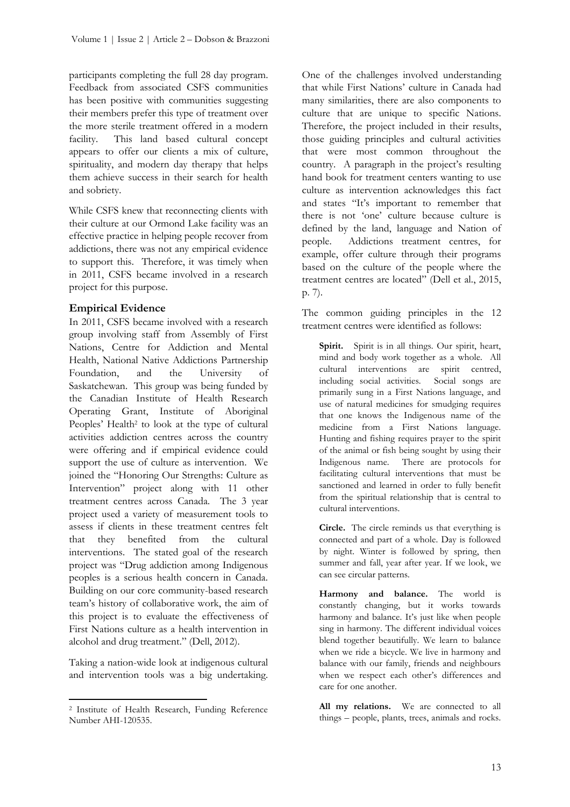participants completing the full 28 day program. Feedback from associated CSFS communities has been positive with communities suggesting their members prefer this type of treatment over the more sterile treatment offered in a modern facility. This land based cultural concept appears to offer our clients a mix of culture, spirituality, and modern day therapy that helps them achieve success in their search for health and sobriety.

While CSFS knew that reconnecting clients with their culture at our Ormond Lake facility was an effective practice in helping people recover from addictions, there was not any empirical evidence to support this. Therefore, it was timely when in 2011, CSFS became involved in a research project for this purpose.

#### **Empirical Evidence**

In 2011, CSFS became involved with a research group involving staff from Assembly of First Nations, Centre for Addiction and Mental Health, National Native Addictions Partnership Foundation, and the University of Saskatchewan. This group was being funded by the Canadian Institute of Health Research Operating Grant, Institute of Aboriginal Peoples' Health<sup>2</sup> to look at the type of cultural activities addiction centres across the country were offering and if empirical evidence could support the use of culture as intervention. We joined the "Honoring Our Strengths: Culture as Intervention" project along with 11 other treatment centres across Canada. The 3 year project used a variety of measurement tools to assess if clients in these treatment centres felt that they benefited from the cultural interventions. The stated goal of the research project was "Drug addiction among Indigenous peoples is a serious health concern in Canada. Building on our core community-based research team's history of collaborative work, the aim of this project is to evaluate the effectiveness of First Nations culture as a health intervention in alcohol and drug treatment." (Dell, 2012).

Taking a nation-wide look at indigenous cultural and intervention tools was a big undertaking.

One of the challenges involved understanding that while First Nations' culture in Canada had many similarities, there are also components to culture that are unique to specific Nations. Therefore, the project included in their results, those guiding principles and cultural activities that were most common throughout the country. A paragraph in the project's resulting hand book for treatment centers wanting to use culture as intervention acknowledges this fact and states "It's important to remember that there is not 'one' culture because culture is defined by the land, language and Nation of people. Addictions treatment centres, for example, offer culture through their programs based on the culture of the people where the treatment centres are located" (Dell et al., 2015, p. 7).

The common guiding principles in the 12 treatment centres were identified as follows:

Spirit. Spirit is in all things. Our spirit, heart, mind and body work together as a whole. All cultural interventions are spirit centred, including social activities. Social songs are primarily sung in a First Nations language, and use of natural medicines for smudging requires that one knows the Indigenous name of the medicine from a First Nations language. Hunting and fishing requires prayer to the spirit of the animal or fish being sought by using their Indigenous name. There are protocols for facilitating cultural interventions that must be sanctioned and learned in order to fully benefit from the spiritual relationship that is central to cultural interventions.

**Circle.** The circle reminds us that everything is connected and part of a whole. Day is followed by night. Winter is followed by spring, then summer and fall, year after year. If we look, we can see circular patterns.

**Harmony and balance.** The world is constantly changing, but it works towards harmony and balance. It's just like when people sing in harmony. The different individual voices blend together beautifully. We learn to balance when we ride a bicycle. We live in harmony and balance with our family, friends and neighbours when we respect each other's differences and care for one another.

**All my relations.** We are connected to all things – people, plants, trees, animals and rocks.

 $\overline{a}$ <sup>2</sup> Institute of Health Research, Funding Reference Number AHI-120535.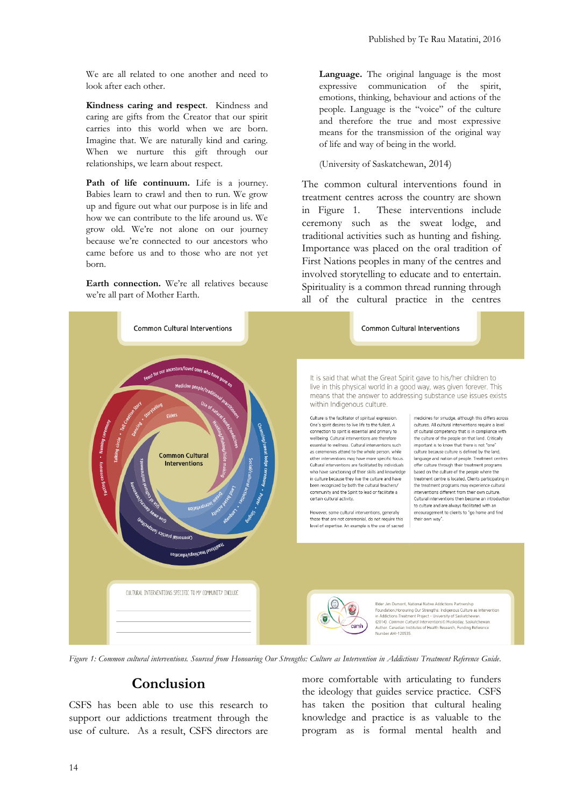We are all related to one another and need to look after each other.

**Kindness caring and respect**. Kindness and caring are gifts from the Creator that our spirit carries into this world when we are born. Imagine that. We are naturally kind and caring. When we nurture this gift through our relationships, we learn about respect.

Path of life continuum. Life is a journey. Babies learn to crawl and then to run. We grow up and figure out what our purpose is in life and how we can contribute to the life around us. We grow old. We're not alone on our journey because we're connected to our ancestors who came before us and to those who are not yet born.

**Earth connection.** We're all relatives because we're all part of Mother Earth.

**Language.** The original language is the most expressive communication of the spirit, emotions, thinking, behaviour and actions of the people. Language is the "voice" of the culture and therefore the true and most expressive means for the transmission of the original way of life and way of being in the world.

(University of Saskatchewan, 2014)

The common cultural interventions found in treatment centres across the country are shown in Figure 1. These interventions include ceremony such as the sweat lodge, and traditional activities such as hunting and fishing. Importance was placed on the oral tradition of First Nations peoples in many of the centres and involved storytelling to educate and to entertain. Spirituality is a common thread running through all of the cultural practice in the centres



*Figure 1: Common cultural interventions. Sourced from Honouring Our Strengths: Culture as Intervention in Addictions Treatment Reference Guide.*

# **Conclusion**

CSFS has been able to use this research to support our addictions treatment through the use of culture. As a result, CSFS directors are more comfortable with articulating to funders the ideology that guides service practice. CSFS has taken the position that cultural healing knowledge and practice is as valuable to the program as is formal mental health and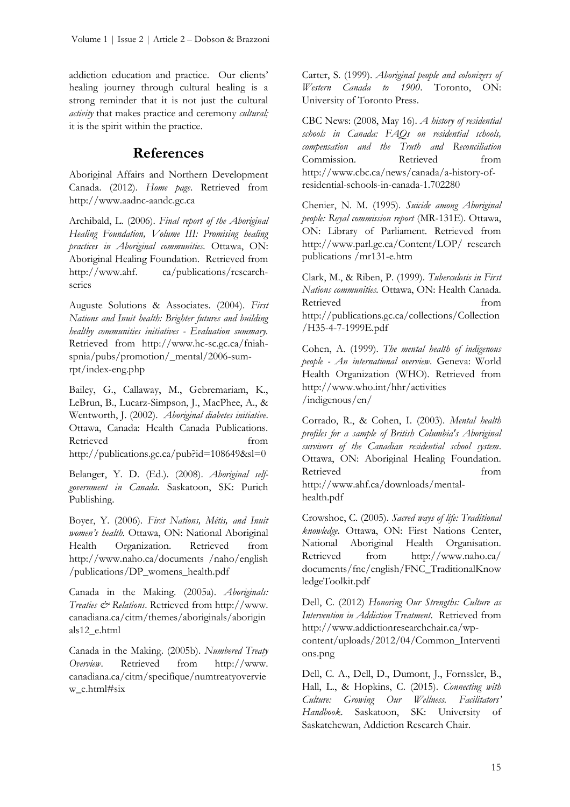addiction education and practice. Our clients' healing journey through cultural healing is a strong reminder that it is not just the cultural *activity* that makes practice and ceremony *cultural;*  it is the spirit within the practice.

# **References**

Aboriginal Affairs and Northern Development Canada. (2012). *Home page*. Retrieved from http://www.aadnc-aandc.gc.ca

Archibald, L. (2006). *Final report of the Aboriginal Healing Foundation, Volume III: Promising healing practices in Aboriginal communities.* Ottawa, ON: Aboriginal Healing Foundation. Retrieved from [http://www.ahf.](http://www.ahf/) ca/publications/researchseries

Auguste Solutions & Associates. (2004). *First Nations and Inuit health: Brighter futures and building healthy communities initiatives - Evaluation summary.* Retrieved from http://www.hc-sc.gc.ca/fniahspnia/pubs/promotion/\_mental/2006-sumrpt/index-eng.php

Bailey, G., Callaway, M., Gebremariam, K., LeBrun, B., Lucarz-Simpson, J., MacPhee, A., & Wentworth, J. (2002). *Aboriginal diabetes initiative*. Ottawa, Canada: Health Canada Publications. Retrieved from http://publications.gc.ca/pub?id=108649&sl=0

Belanger, Y. D. (Ed.). (2008). *Aboriginal selfgovernment in Canada*. Saskatoon, SK: Purich Publishing.

Boyer, Y. (2006). *First Nations, Métis, and Inuit women's health.* Ottawa, ON: National Aboriginal Health Organization. Retrieved from http://www.naho.ca/documents /naho/english /publications/DP\_womens\_health.pdf

Canada in the Making. (2005a). *Aboriginals: Treaties & Relations*. Retrieved from http://www. canadiana.ca/citm/themes/aboriginals/aborigin als12\_e.html

Canada in the Making. (2005b). *Numbered Treaty Overview*. Retrieved from http://www. canadiana.ca/citm/specifique/numtreatyovervie w\_e.html#six

Carter, S. (1999). *Aboriginal people and colonizers of Western Canada to 1900*. Toronto, ON: University of Toronto Press.

CBC News: (2008, May 16). *A history of residential schools in Canada: FAQs on residential schools, compensation and the Truth and Reconciliation*  Commission. Retrieved from [http://www.cbc.ca/news/canada/a-history-of](http://www.cbc.ca/news/canada/a-history-of-residential-schools-in-canada-1.702280)[residential-schools-in-canada-1.702280](http://www.cbc.ca/news/canada/a-history-of-residential-schools-in-canada-1.702280)

Chenier, N. M. (1995). *Suicide among Aboriginal people: Royal commission report* (MR-131E). Ottawa, ON: Library of Parliament. Retrieved from http://www.parl.gc.ca/Content/LOP/ research publications /mr131-e.htm

Clark, M., & Riben, P. (1999). *Tuberculosis in First Nations communities.* Ottawa, ON: Health Canada. Retrieved from http://publications.gc.ca/collections/Collection /H35-4-7-1999E.pdf

Cohen, A. (1999). *The mental health of indigenous people - An international overview*. Geneva: World Health Organization (WHO). Retrieved from http://www.who.int/hhr/activities /indigenous/en/

Corrado, R., & Cohen, I. (2003). *Mental health profiles for a sample of British Columbia's Aboriginal survivors of the Canadian residential school system*. Ottawa, ON: Aboriginal Healing Foundation. Retrieved from http://www.ahf.ca/downloads/mentalhealth.pdf

Crowshoe, C. (2005). *Sacred ways of life: Traditional knowledge*. Ottawa, ON: First Nations Center, National Aboriginal Health Organisation. Retrieved from http://www.naho.ca/ documents/fnc/english/FNC\_TraditionalKnow ledgeToolkit.pdf

Dell, C. (2012) *Honoring Our Strengths: Culture as Intervention in Addiction Treatment*. Retrieved from http://www.addictionresearchchair.ca/wpcontent/uploads/2012/04/Common\_Interventi ons.png

Dell, C. A., Dell, D., Dumont, J., Fornssler, B., Hall, L., & Hopkins, C. (2015). *Connecting with Culture: Growing Our Wellness. Facilitators' Handbook*. Saskatoon, SK: University of Saskatchewan, Addiction Research Chair.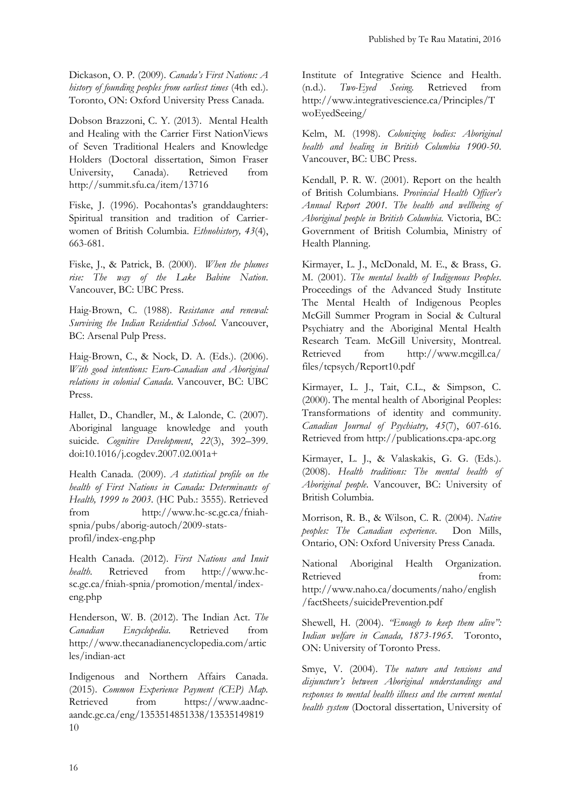Dickason, O. P. (2009). *Canada's First Nations: A history of founding peoples from earliest times* (4th ed.). Toronto, ON: Oxford University Press Canada.

Dobson Brazzoni, C. Y. (2013). Mental Health and Healing with the Carrier First NationViews of Seven Traditional Healers and Knowledge Holders (Doctoral dissertation, Simon Fraser University, Canada). Retrieved from http://summit.sfu.ca/item/13716

Fiske, J. (1996). Pocahontas's granddaughters: Spiritual transition and tradition of Carrierwomen of British Columbia. *Ethnohistory, 43*(4), 663-681.

Fiske, J., & Patrick, B. (2000). *When the plumes rise: The way of the Lake Babine Nation*. Vancouver, BC: UBC Press.

Haig-Brown, C. (1988). *Resistance and renewal: Surviving the Indian Residential School.* Vancouver, BC: Arsenal Pulp Press.

Haig-Brown, C., & Nock, D. A. (Eds.). (2006). *With good intentions: Euro-Canadian and Aboriginal relations in colonial Canada*. Vancouver, BC: UBC Press.

Hallet, D., Chandler, M., & Lalonde, C. (2007). Aboriginal language knowledge and youth suicide. *Cognitive Development*, *22*(3), 392–399. doi:10.1016/j.cogdev.2007.02.001a+

Health Canada. (2009). *A statistical profile on the health of First Nations in Canada: Determinants of Health, 1999 to 2003*. (HC Pub.: 3555). Retrieved from http://www.hc-sc.gc.ca/fniahspnia/pubs/aborig-autoch/2009-statsprofil/index-eng.php

Health Canada. (2012). *First Nations and Inuit health*. Retrieved from http://www.hcsc.gc.ca/fniah-spnia/promotion/mental/indexeng.php

Henderson, W. B. (2012). The Indian Act. *The Canadian Encyclopedia*. Retrieved from http://www.thecanadianencyclopedia.com/artic les/indian-act

Indigenous and Northern Affairs Canada. (2015). *Common Experience Payment (CEP) Map.* Retrieved from [https://www.aadnc](https://www.aadnc-aandc.gc.ca/eng/1353514851338/1353514981910)[aandc.gc.ca/eng/1353514851338/13535149819](https://www.aadnc-aandc.gc.ca/eng/1353514851338/1353514981910) [10](https://www.aadnc-aandc.gc.ca/eng/1353514851338/1353514981910)

Institute of Integrative Science and Health. (n.d.). *Two-Eyed Seeing.* Retrieved from http://www.integrativescience.ca/Principles/T woEyedSeeing/

Kelm, M. (1998). *Colonizing bodies: Aboriginal health and healing in British Columbia 1900-50*. Vancouver, BC: UBC Press.

Kendall, P. R. W. (2001). Report on the health of British Columbians*. Provincial Health Officer's Annual Report 2001. The health and wellbeing of Aboriginal people in British Columbia.* Victoria, BC: Government of British Columbia, Ministry of Health Planning.

Kirmayer, L. J., McDonald, M. E., & Brass, G. M. (2001). *The mental health of Indigenous Peoples*. Proceedings of the Advanced Study Institute The Mental Health of Indigenous Peoples McGill Summer Program in Social & Cultural Psychiatry and the Aboriginal Mental Health Research Team. McGill University, Montreal. Retrieved from http://www.mcgill.ca/ files/tcpsych/Report10.pdf

Kirmayer, L. J., Tait, C.L., & Simpson, C. (2000). The mental health of Aboriginal Peoples: Transformations of identity and community. *Canadian Journal of Psychiatry, 45*(7), 607-616. Retrieved from http://publications.cpa-apc.org

Kirmayer, L. J., & Valaskakis, G. G. (Eds.). (2008). *Health traditions: The mental health of Aboriginal people*. Vancouver, BC: University of British Columbia.

Morrison, R. B., & Wilson, C. R. (2004). *Native peoples: The Canadian experience*. Don Mills, Ontario, ON: Oxford University Press Canada.

National Aboriginal Health Organization. Retrieved from: http://www.naho.ca/documents/naho/english /factSheets/suicidePrevention.pdf

Shewell, H. (2004). *"Enough to keep them alive": Indian welfare in Canada, 1873-1965.* Toronto, ON: University of Toronto Press.

Smye, V. (2004). *The nature and tensions and disjuncture's between Aboriginal understandings and responses to mental health illness and the current mental health system* (Doctoral dissertation, University of